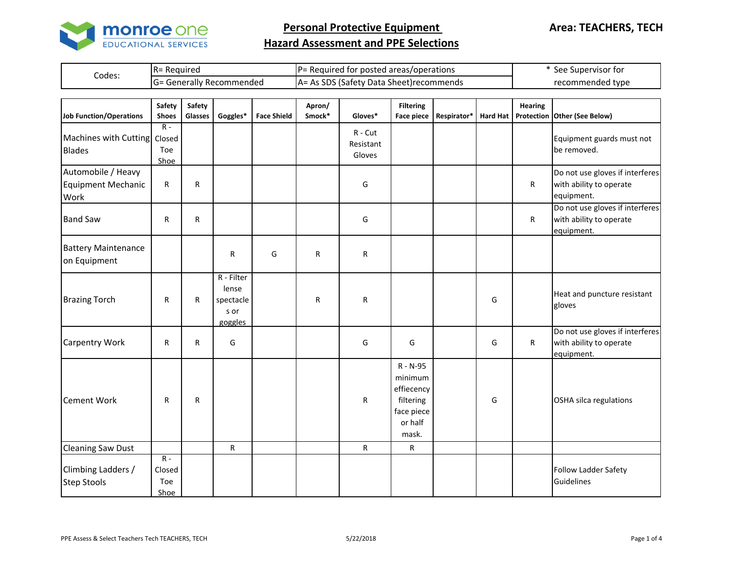

|        | R= Reauired             | IP= Required for posted areas/operations        | See Supervisor for |
|--------|-------------------------|-------------------------------------------------|--------------------|
| Codes: | : Generally Recommended | <b>JA= As SDS (Safety Data Sheet)recommends</b> | recommended type   |

| <b>Job Function/Operations</b>                          | Safety<br><b>Shoes</b>         | Safety<br>Glasses | Goggles*                                            | <b>Face Shield</b> | Apron/<br>Smock* | Gloves*                          | <b>Filtering</b><br><b>Face piece</b>                                            | Respirator* | <b>Hard Hat</b> | <b>Hearing</b> | Protection Other (See Below)                                             |
|---------------------------------------------------------|--------------------------------|-------------------|-----------------------------------------------------|--------------------|------------------|----------------------------------|----------------------------------------------------------------------------------|-------------|-----------------|----------------|--------------------------------------------------------------------------|
| Machines with Cutting Closed<br><b>Blades</b>           | $R -$<br>Toe<br>Shoe           |                   |                                                     |                    |                  | $R - Cut$<br>Resistant<br>Gloves |                                                                                  |             |                 |                | Equipment guards must not<br>be removed.                                 |
| Automobile / Heavy<br><b>Equipment Mechanic</b><br>Work | R                              | R                 |                                                     |                    |                  | G                                |                                                                                  |             |                 | R              | Do not use gloves if interferes<br>with ability to operate<br>equipment. |
| <b>Band Saw</b>                                         | R                              | $\mathsf{R}$      |                                                     |                    |                  | G                                |                                                                                  |             |                 | $\mathsf{R}$   | Do not use gloves if interferes<br>with ability to operate<br>equipment. |
| <b>Battery Maintenance</b><br>on Equipment              |                                |                   | R                                                   | G                  | R                | R                                |                                                                                  |             |                 |                |                                                                          |
| <b>Brazing Torch</b>                                    | $\mathsf{R}$                   | R                 | R - Filter<br>lense<br>spectacle<br>s or<br>goggles |                    | R                | R                                |                                                                                  |             | G               |                | Heat and puncture resistant<br>gloves                                    |
| <b>Carpentry Work</b>                                   | R                              | R                 | G                                                   |                    |                  | G                                | G                                                                                |             | G               | $\mathsf{R}$   | Do not use gloves if interferes<br>with ability to operate<br>equipment. |
| <b>Cement Work</b>                                      | $\mathsf{R}$                   | ${\sf R}$         |                                                     |                    |                  | R                                | R - N-95<br>minimum<br>effiecency<br>filtering<br>face piece<br>or half<br>mask. |             | G               |                | OSHA silca regulations                                                   |
| <b>Cleaning Saw Dust</b>                                |                                |                   | R                                                   |                    |                  | R.                               | R                                                                                |             |                 |                |                                                                          |
| Climbing Ladders /<br><b>Step Stools</b>                | $R -$<br>Closed<br>Toe<br>Shoe |                   |                                                     |                    |                  |                                  |                                                                                  |             |                 |                | Follow Ladder Safety<br>Guidelines                                       |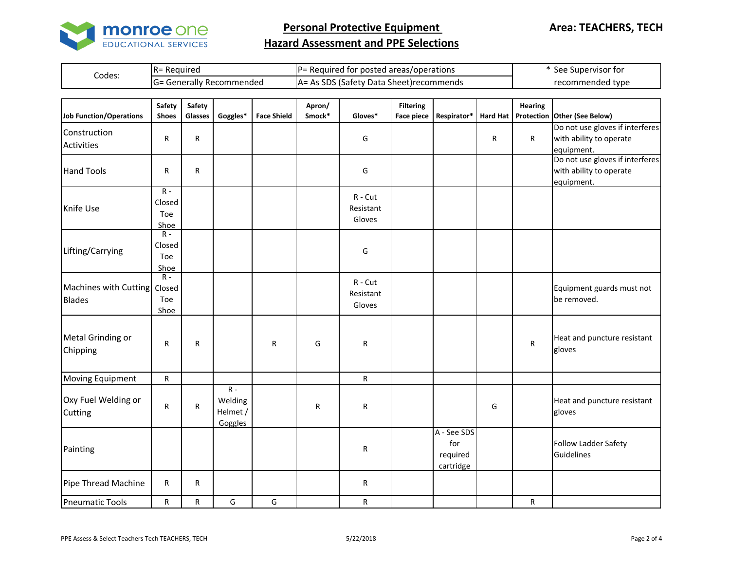

|        | : Reauirea<br>$R =$   | $P =$<br>: Required for posted areas/operations-     | See Supervisor for |  |  |
|--------|-----------------------|------------------------------------------------------|--------------------|--|--|
| Codes: | Generally Recommended | SDS (Safety<br>, Data Sheet)recommends<br>IA=<br>AS. | recommended type   |  |  |

| <b>Job Function/Operations</b>                | <b>Safety</b><br><b>Shoes</b>             | Safety<br>Glasses | Goggles*                                | <b>Face Shield</b> | Apron/<br>Smock* | Gloves*                          | <b>Filtering</b><br><b>Face piece</b> | Respirator*                                 | <b>Hard Hat</b> | <b>Hearing</b> | Protection Other (See Below)                                             |
|-----------------------------------------------|-------------------------------------------|-------------------|-----------------------------------------|--------------------|------------------|----------------------------------|---------------------------------------|---------------------------------------------|-----------------|----------------|--------------------------------------------------------------------------|
| Construction<br><b>Activities</b>             | ${\sf R}$                                 | R                 |                                         |                    |                  | G                                |                                       |                                             | R               | $\mathsf{R}$   | Do not use gloves if interferes<br>with ability to operate<br>equipment. |
| <b>Hand Tools</b>                             | R                                         | R                 |                                         |                    |                  | G                                |                                       |                                             |                 |                | Do not use gloves if interferes<br>with ability to operate<br>equipment. |
| Knife Use                                     | $R -$<br>Closed<br>Toe<br>Shoe            |                   |                                         |                    |                  | $R - Cut$<br>Resistant<br>Gloves |                                       |                                             |                 |                |                                                                          |
| Lifting/Carrying                              | $\overline{R}$ -<br>Closed<br>Toe<br>Shoe |                   |                                         |                    |                  | G                                |                                       |                                             |                 |                |                                                                          |
| Machines with Cutting Closed<br><b>Blades</b> | $R -$<br>Toe<br>Shoe                      |                   |                                         |                    |                  | $R - Cut$<br>Resistant<br>Gloves |                                       |                                             |                 |                | Equipment guards must not<br>be removed.                                 |
| Metal Grinding or<br>Chipping                 | R                                         | R                 |                                         | R                  | G                | R                                |                                       |                                             |                 | ${\sf R}$      | Heat and puncture resistant<br>gloves                                    |
| Moving Equipment                              | $\mathsf{R}$                              |                   |                                         |                    |                  | $\mathsf{R}$                     |                                       |                                             |                 |                |                                                                          |
| Oxy Fuel Welding or<br>Cutting                | ${\sf R}$                                 | R                 | $R -$<br>Welding<br>Helmet /<br>Goggles |                    | R                | $\mathsf{R}$                     |                                       |                                             | G               |                | Heat and puncture resistant<br>gloves                                    |
| Painting                                      |                                           |                   |                                         |                    |                  | R                                |                                       | A - See SDS<br>for<br>required<br>cartridge |                 |                | <b>Follow Ladder Safety</b><br>Guidelines                                |
| Pipe Thread Machine                           | R                                         | R                 |                                         |                    |                  | R                                |                                       |                                             |                 |                |                                                                          |
| <b>Pneumatic Tools</b>                        | R                                         | R                 | G                                       | G                  |                  | R                                |                                       |                                             |                 | R              |                                                                          |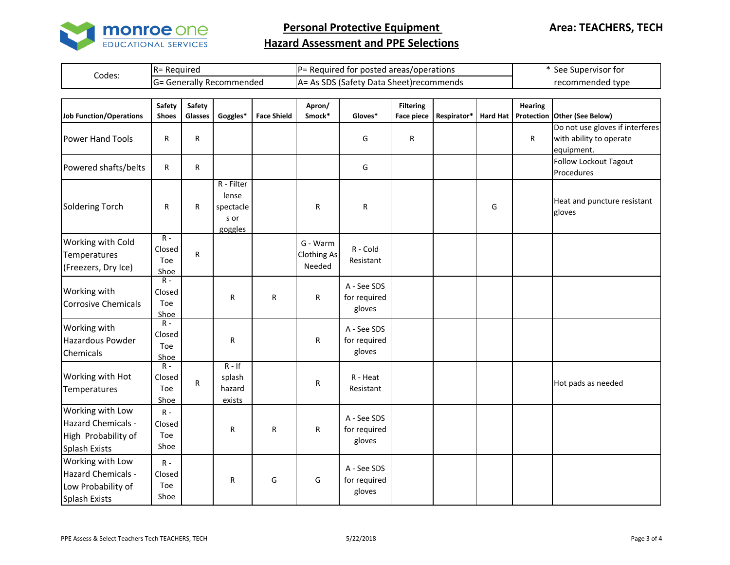

|        | : Reauirea<br>$R =$   | $P =$<br>: Required for posted areas/operations-     | See Supervisor for |  |  |
|--------|-----------------------|------------------------------------------------------|--------------------|--|--|
| Codes: | Generally Recommended | SDS (Safety<br>, Data Sheet)recommends<br>IA=<br>AS. | recommended type   |  |  |

| <b>Job Function/Operations</b>                                                               | Safety<br><b>Shoes</b>                    | Safety<br>Glasses | Goggles*                                            | <b>Face Shield</b> | Apron/<br>Smock*                         | Gloves*                               | <b>Filtering</b><br><b>Face piece</b> | Respirator* | <b>Hard Hat</b> | <b>Hearing</b> | Protection Other (See Below)                                             |
|----------------------------------------------------------------------------------------------|-------------------------------------------|-------------------|-----------------------------------------------------|--------------------|------------------------------------------|---------------------------------------|---------------------------------------|-------------|-----------------|----------------|--------------------------------------------------------------------------|
| <b>Power Hand Tools</b>                                                                      | R                                         | ${\sf R}$         |                                                     |                    |                                          | G                                     | R                                     |             |                 | R              | Do not use gloves if interferes<br>with ability to operate<br>equipment. |
| Powered shafts/belts                                                                         | R                                         | R                 |                                                     |                    |                                          | G                                     |                                       |             |                 |                | Follow Lockout Tagout<br>Procedures                                      |
| <b>Soldering Torch</b>                                                                       | R                                         | R                 | R - Filter<br>lense<br>spectacle<br>s or<br>goggles |                    | R                                        | R                                     |                                       |             | G               |                | Heat and puncture resistant<br>gloves                                    |
| Working with Cold<br>Temperatures<br>(Freezers, Dry Ice)                                     | $\overline{R}$ -<br>Closed<br>Toe<br>Shoe | ${\sf R}$         |                                                     |                    | G - Warm<br><b>Clothing As</b><br>Needed | R - Cold<br>Resistant                 |                                       |             |                 |                |                                                                          |
| Working with<br><b>Corrosive Chemicals</b>                                                   | $\overline{R}$ -<br>Closed<br>Toe<br>Shoe |                   | R                                                   | ${\sf R}$          | $\mathsf R$                              | A - See SDS<br>for required<br>gloves |                                       |             |                 |                |                                                                          |
| Working with<br>Hazardous Powder<br>Chemicals                                                | $R -$<br>Closed<br>Toe<br>Shoe            |                   | R                                                   |                    | R                                        | A - See SDS<br>for required<br>gloves |                                       |             |                 |                |                                                                          |
| Working with Hot<br>Temperatures                                                             | $R -$<br>Closed<br>Toe<br>Shoe            | ${\sf R}$         | $R - If$<br>splash<br>hazard<br>exists              |                    | R                                        | R - Heat<br>Resistant                 |                                       |             |                 |                | Hot pads as needed                                                       |
| Working with Low<br><b>Hazard Chemicals -</b><br>High Probability of<br><b>Splash Exists</b> | $R -$<br>Closed<br>Toe<br>Shoe            |                   | R                                                   | $\mathsf{R}$       | ${\sf R}$                                | A - See SDS<br>for required<br>gloves |                                       |             |                 |                |                                                                          |
| Working with Low<br>Hazard Chemicals -<br>Low Probability of<br><b>Splash Exists</b>         | $R -$<br>Closed<br>Toe<br>Shoe            |                   | R                                                   | G                  | G                                        | A - See SDS<br>for required<br>gloves |                                       |             |                 |                |                                                                          |